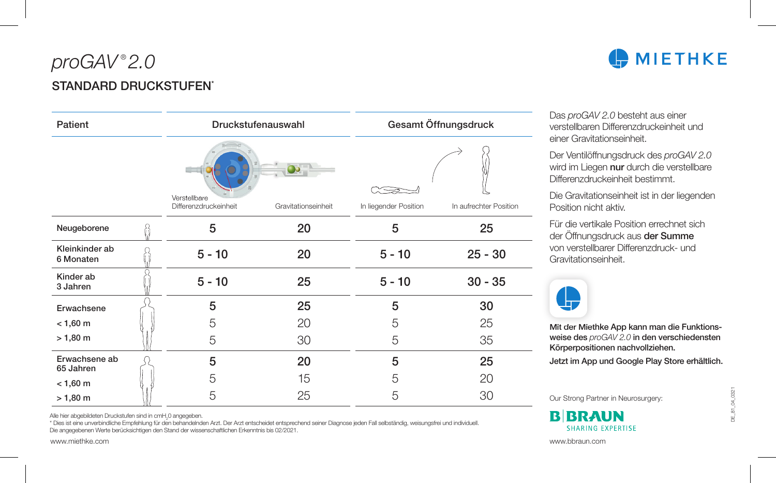## *proGAV* ® *2.0* STANDARD DRUCKSTUFFN<sup>\*</sup>

| Patient                     |  | Druckstufenauswahl                    |                     | Gesamt Öffnungsdruck  |                        |
|-----------------------------|--|---------------------------------------|---------------------|-----------------------|------------------------|
|                             |  | Verstellbare<br>Differenzdruckeinheit | Gravitationseinheit | In liegender Position | In aufrechter Position |
|                             |  |                                       |                     |                       |                        |
| Neugeborene                 |  | 5                                     | 20                  | 5                     | 25                     |
| Kleinkinder ab<br>6 Monaten |  | $5 - 10$                              | 20                  | $5 - 10$              | $25 - 30$              |
| Kinder ab<br>3 Jahren       |  | $5 - 10$                              | 25                  | $5 - 10$              | $30 - 35$              |
| Erwachsene                  |  | 5                                     | 25                  | 5                     | 30                     |
| $< 1,60 \text{ m}$          |  | 5                                     | 20                  | 5                     | 25                     |
| $> 1,80 \; m$               |  | 5                                     | 30                  | 5                     | 35                     |
| Erwachsene ab<br>65 Jahren  |  | 5                                     | 20                  | 5                     | 25                     |
| $< 1,60 \text{ m}$          |  | 5                                     | 15                  | 5                     | 20                     |
| $> 1,80 \; m$               |  | 5                                     | 25                  | 5                     | 30                     |

Alle hier abgebildeten Druckstufen sind in cmH<sub>2</sub>0 angegeben.

\* Dies ist eine unverbindliche Empfehlung für den behandelnden Arzt. Der Arzt entscheidet entsprechend seiner Diagnose jeden Fall selbständig, weisungsfrei und individuell. Die angegebenen Werte berücksichtigen den Stand der wissenschaftlichen Erkenntnis bis 02/2021.

Das *proGAV 2.0* besteht aus einer verstellbaren Differenzdruckeinheit und einer Gravitationseinheit.

Der Ventilöffnungsdruck des *proGAV 2.0* wird im Liegen nur durch die verstellbare Differenzdruckeinheit bestimmt.

Die Gravitationseinheit ist in der liegenden Position nicht aktiv.

Für die vertikale Position errechnet sich der Öffnungsdruck aus der Summe von verstellbarer Differenzdruck- und Gravitationseinheit.



Mit der Miethke App kann man die Funktionsweise des *proGAV 2.0* in den verschiedensten Körperpositionen nachvollziehen.

Jetzt im App und Google Play Store erhältlich.

Our Strong Partner in Neurosurgery:

**B**BRAUN **SHARING EXPERTISE**